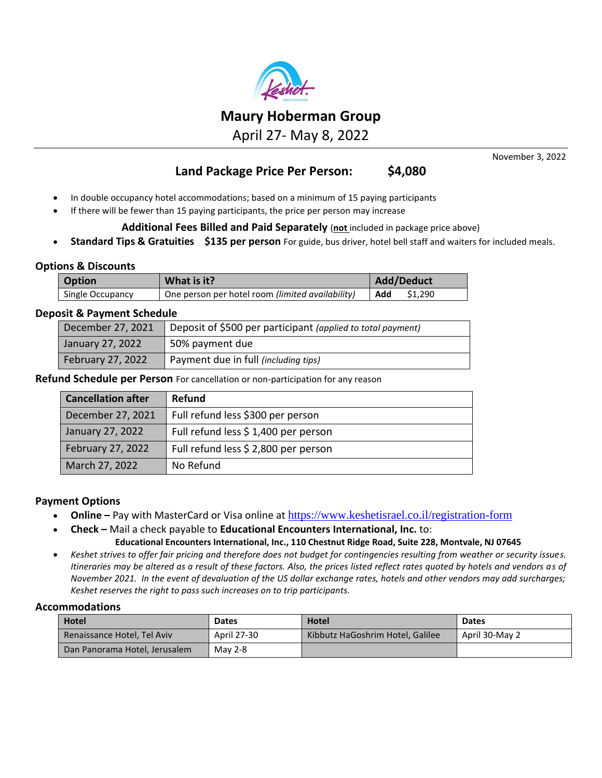

April 27- May 8, 2022

November 3, 2022

## **Land Package Price Per Person: \$4,080**

- In double occupancy hotel accommodations; based on a minimum of 15 paying participants
- If there will be fewer than 15 paying participants, the price per person may increase

**Additional Fees Billed and Paid Separately** (**not** included in package price above)

• **Standard Tips & Gratuities \$135 per person** For guide, bus driver, hotel bell staff and waiters for included meals.

## **Options & Discounts**

| <b>Option</b>    | What is it?                                      | <b>Add/Deduct</b> |  |
|------------------|--------------------------------------------------|-------------------|--|
| Single Occupancy | One person per hotel room (limited availability) | Add<br>\$1.290    |  |

## **Deposit & Payment Schedule**

| December 27, 2021        | Deposit of \$500 per participant (applied to total payment) |
|--------------------------|-------------------------------------------------------------|
| January 27, 2022         | 50% payment due                                             |
| <b>February 27, 2022</b> | Payment due in full (including tips)                        |

**Refund Schedule per Person** For cancellation or non-participation for any reason

| <b>Cancellation after</b> | <b>Refund</b>                        |
|---------------------------|--------------------------------------|
| December 27, 2021         | Full refund less \$300 per person    |
| January 27, 2022          | Full refund less \$ 1,400 per person |
| February 27, 2022         | Full refund less \$ 2,800 per person |
| March 27, 2022            | No Refund                            |

## **Payment Options**

- **Online –** Pay with MasterCard or Visa online at <https://www.keshetisrael.co.il/registration-form>
- **Check –** Mail a check payable to **Educational Encounters International, Inc.** to:

## **Educational Encounters International, Inc., 110 Chestnut Ridge Road, Suite 228, Montvale, NJ 07645**

• *Keshet strives to offer fair pricing and therefore does not budget for contingencies resulting from weather or security issues. Itineraries may be altered as a result of these factors. Also, the prices listed reflect rates quoted by hotels and vendors as of November 2021. In the event of devaluation of the US dollar exchange rates, hotels and other vendors may add surcharges; Keshet reserves the right to pass such increases on to trip participants.*

#### **Accommodations**

| <b>Hotel</b>                  | <b>Dates</b> | <b>Hotel</b>                     | <b>Dates</b>   |
|-------------------------------|--------------|----------------------------------|----------------|
| Renaissance Hotel, Tel Aviv   | April 27-30  | Kibbutz HaGoshrim Hotel, Galilee | April 30-May 2 |
| Dan Panorama Hotel, Jerusalem | May 2-8      |                                  |                |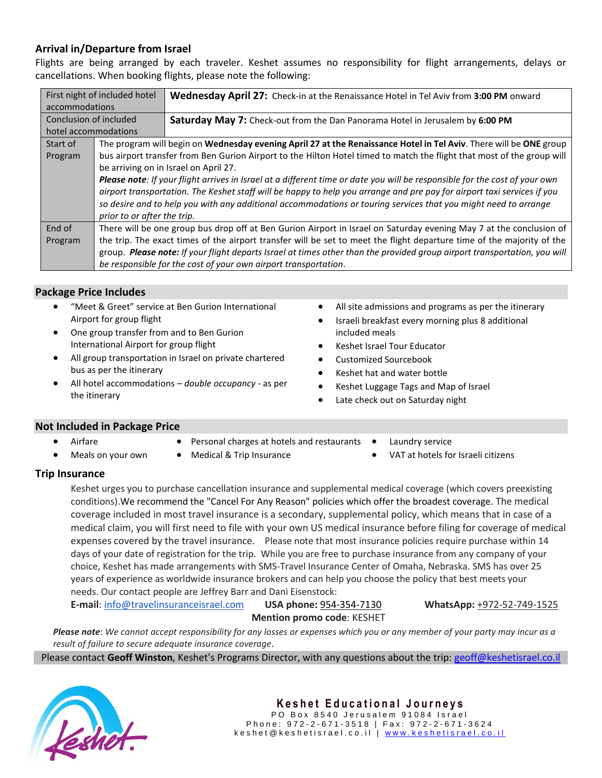## **Arrival in/Departure from Israel**

Flights are being arranged by each traveler. Keshet assumes no responsibility for flight arrangements, delays or cancellations. When booking flights, please note the following:

|                        | First night of included hotel                                                                                           | <b>Wednesday April 27:</b> Check-in at the Renaissance Hotel in Tel Aviv from 3:00 PM onward                               |  |  |
|------------------------|-------------------------------------------------------------------------------------------------------------------------|----------------------------------------------------------------------------------------------------------------------------|--|--|
| accommodations         |                                                                                                                         |                                                                                                                            |  |  |
| Conclusion of included |                                                                                                                         | <b>Saturday May 7:</b> Check-out from the Dan Panorama Hotel in Jerusalem by 6:00 PM                                       |  |  |
| hotel accommodations   |                                                                                                                         |                                                                                                                            |  |  |
| Start of               |                                                                                                                         | The program will begin on Wednesday evening April 27 at the Renaissance Hotel in Tel Aviv. There will be ONE group         |  |  |
| Program                |                                                                                                                         | bus airport transfer from Ben Gurion Airport to the Hilton Hotel timed to match the flight that most of the group will     |  |  |
|                        | be arriving on in Israel on April 27.                                                                                   |                                                                                                                            |  |  |
|                        |                                                                                                                         | Please note: If your flight arrives in Israel at a different time or date you will be responsible for the cost of your own |  |  |
|                        | airport transportation. The Keshet staff will be happy to help you arrange and pre pay for airport taxi services if you |                                                                                                                            |  |  |
|                        |                                                                                                                         | so desire and to help you with any additional accommodations or touring services that you might need to arrange            |  |  |
|                        | prior to or after the trip.                                                                                             |                                                                                                                            |  |  |
| End of                 | There will be one group bus drop off at Ben Gurion Airport in Israel on Saturday evening May 7 at the conclusion of     |                                                                                                                            |  |  |
| Program                | the trip. The exact times of the airport transfer will be set to meet the flight departure time of the majority of the  |                                                                                                                            |  |  |
|                        |                                                                                                                         | group. Please note: If your flight departs Israel at times other than the provided group airport transportation, you will  |  |  |
|                        |                                                                                                                         | be responsible for the cost of your own airport transportation.                                                            |  |  |

## **Package Price Includes**

- "Meet & Greet" service at Ben Gurion International Airport for group flight
- One group transfer from and to Ben Gurion International Airport for group flight
- All group transportation in Israel on private chartered bus as per the itinerary
- All hotel accommodations *double occupancy -* as per the itinerary
- All site admissions and programs as per the itinerary
- Israeli breakfast every morning plus 8 additional included meals
- Keshet Israel Tour Educator
- Customized Sourcebook
- Keshet hat and water bottle
- Keshet Luggage Tags and Map of Israel
- Late check out on Saturday night

## **Not Included in Package Price**

- **Airfare**
- Personal charges at hotels and restaurants
- Meals on your own
- 
- Medical & Trip Insurance
- Laundry service
- VAT at hotels for Israeli citizens

## **Trip Insurance**

Keshet urges you to purchase cancellation insurance and supplemental medical coverage (which covers preexisting conditions).We recommend the "Cancel For Any Reason" policies which offer the broadest coverage. The medical coverage included in most travel insurance is a secondary, supplemental policy, which means that in case of a medical claim, you will first need to file with your own US medical insurance before filing for coverage of medical expenses covered by the travel insurance. Please note that most insurance policies require purchase within 14 days of your date of registration for the trip. While you are free to purchase insurance from any company of your choice, Keshet has made arrangements with SMS-Travel Insurance Center of Omaha, Nebraska. SMS has over 25 years of experience as worldwide insurance brokers and can help you choose the policy that best meets your needs. Our contact people are Jeffrey Barr and Dani Eisenstock:

**E-mail**: [info@travelinsuranceisrael.com](mailto:info@travelinsuranceisrael.com) **USA phone:** [954-354-7130](tel:1-888-747-3773) **WhatsApp:** +972-52-749-1525 **Mention promo code**: KESHET

*Please note*: *We cannot accept responsibility for any losses or expenses which you or any member of your party may incur as a result of failure to secure adequate insurance coverage.*

Please contact **Geoff Winston**, Keshet's Programs Director, with any questions about the trip: [geoff@keshetisrael.co.il](mailto:geoff@keshetisrael.co.il)

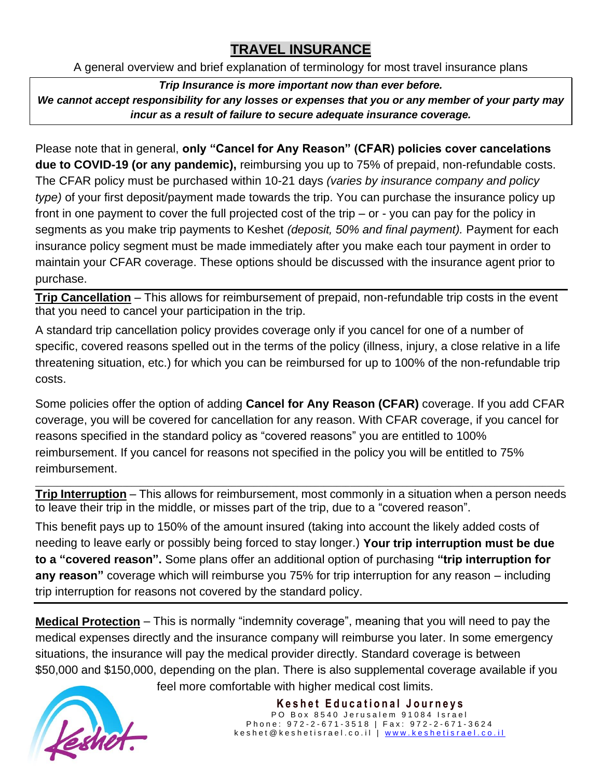# **TRAVEL INSURANCE**

A general overview and brief explanation of terminology for most travel insurance plans

*Trip Insurance is more important now than ever before.* 

*We cannot accept responsibility for any losses or expenses that you or any member of your party may incur as a result of failure to secure adequate insurance coverage.*

Please note that in general, **only "Cancel for Any Reason" (CFAR) policies cover cancelations due to COVID-19 (or any pandemic),** reimbursing you up to 75% of prepaid, non-refundable costs. The CFAR policy must be purchased within 10-21 days *(varies by insurance company and policy type)* of your first deposit/payment made towards the trip. You can purchase the insurance policy up front in one payment to cover the full projected cost of the trip – or - you can pay for the policy in segments as you make trip payments to Keshet *(deposit, 50% and final payment).* Payment for each insurance policy segment must be made immediately after you make each tour payment in order to maintain your CFAR coverage. These options should be discussed with the insurance agent prior to purchase.

**Trip Cancellation** – This allows for reimbursement of prepaid, non-refundable trip costs in the event that you need to cancel your participation in the trip.

A standard trip cancellation policy provides coverage only if you cancel for one of a number of specific, covered reasons spelled out in the terms of the policy (illness, injury, a close relative in a life threatening situation, etc.) for which you can be reimbursed for up to 100% of the non-refundable trip costs.

Some policies offer the option of adding **Cancel for Any Reason (CFAR)** coverage. If you add CFAR coverage, you will be covered for cancellation for any reason. With CFAR coverage, if you cancel for reasons specified in the standard policy as "covered reasons" you are entitled to 100% reimbursement. If you cancel for reasons not specified in the policy you will be entitled to 75% reimbursement.

\_\_\_\_\_\_\_\_\_\_\_\_\_\_\_\_\_\_\_\_\_\_\_\_\_\_\_\_\_\_\_\_\_\_\_\_\_\_\_\_\_\_\_\_\_\_\_\_\_\_\_\_\_\_\_\_\_\_\_\_\_\_\_\_\_\_\_\_\_\_\_\_\_\_\_\_\_\_\_\_\_\_\_\_\_\_\_\_\_\_\_\_\_\_\_\_\_\_\_\_\_\_\_\_\_\_\_\_\_\_\_\_\_\_\_\_\_\_\_\_\_ **Trip Interruption** – This allows for reimbursement, most commonly in a situation when a person needs to leave their trip in the middle, or misses part of the trip, due to a "covered reason".

This benefit pays up to 150% of the amount insured (taking into account the likely added costs of needing to leave early or possibly being forced to stay longer.) **Your trip interruption must be due to a "covered reason".** Some plans offer an additional option of purchasing **"trip interruption for any reason"** coverage which will reimburse you 75% for trip interruption for any reason – including trip interruption for reasons not covered by the standard policy.

**Medical Protection** – This is normally "indemnity coverage", meaning that you will need to pay the medical expenses directly and the insurance company will reimburse you later. In some emergency situations, the insurance will pay the medical provider directly. Standard coverage is between \$50,000 and \$150,000, depending on the plan. There is also supplemental coverage available if you

feel more comfortable with higher medical cost limits.



**Keshet Educational Journeys** PO Box 8540 Jerusalem 91084 Israel Phone: 972-2-671-3518 | Fax: 972-2-671-3624 k e s h e t @ k e s h e t i s r a e l . c o . i | www.k e s h e t i s r a e l . c o . i l